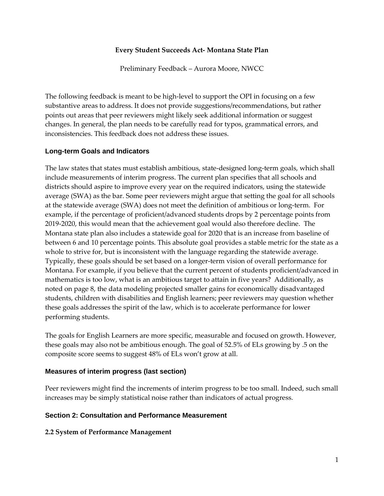### **Every Student Succeeds Act- Montana State Plan**

Preliminary Feedback – Aurora Moore, NWCC

The following feedback is meant to be high-level to support the OPI in focusing on a few substantive areas to address. It does not provide suggestions/recommendations, but rather points out areas that peer reviewers might likely seek additional information or suggest changes. In general, the plan needs to be carefully read for typos, grammatical errors, and inconsistencies. This feedback does not address these issues.

### **Long-term Goals and Indicators**

The law states that states must establish ambitious, state-designed long-term goals, which shall include measurements of interim progress. The current plan specifies that all schools and districts should aspire to improve every year on the required indicators, using the statewide average (SWA) as the bar. Some peer reviewers might argue that setting the goal for all schools at the statewide average (SWA) does not meet the definition of ambitious or long-term. For example, if the percentage of proficient/advanced students drops by 2 percentage points from 2019-2020, this would mean that the achievement goal would also therefore decline. The Montana state plan also includes a statewide goal for 2020 that is an increase from baseline of between 6 and 10 percentage points. This absolute goal provides a stable metric for the state as a whole to strive for, but is inconsistent with the language regarding the statewide average. Typically, these goals should be set based on a longer-term vision of overall performance for Montana. For example, if you believe that the current percent of students proficient/advanced in mathematics is too low, what is an ambitious target to attain in five years? Additionally, as noted on page 8, the data modeling projected smaller gains for economically disadvantaged students, children with disabilities and English learners; peer reviewers may question whether these goals addresses the spirit of the law, which is to accelerate performance for lower performing students.

The goals for English Learners are more specific, measurable and focused on growth. However, these goals may also not be ambitious enough. The goal of 52.5% of ELs growing by .5 on the composite score seems to suggest 48% of ELs won't grow at all.

## **Measures of interim progress (last section)**

Peer reviewers might find the increments of interim progress to be too small. Indeed, such small increases may be simply statistical noise rather than indicators of actual progress.

### **Section 2: Consultation and Performance Measurement**

### **2.2 System of Performance Management**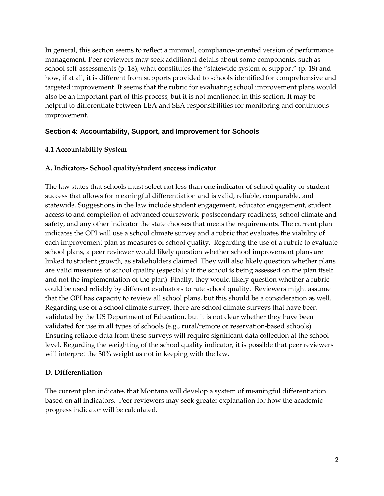In general, this section seems to reflect a minimal, compliance-oriented version of performance management. Peer reviewers may seek additional details about some components, such as school self-assessments (p. 18), what constitutes the "statewide system of support" (p. 18) and how, if at all, it is different from supports provided to schools identified for comprehensive and targeted improvement. It seems that the rubric for evaluating school improvement plans would also be an important part of this process, but it is not mentioned in this section. It may be helpful to differentiate between LEA and SEA responsibilities for monitoring and continuous improvement.

## **Section 4: Accountability, Support, and Improvement for Schools**

### **4.1 Accountability System**

### **A. Indicators- School quality/student success indicator**

The law states that schools must select not less than one indicator of school quality or student success that allows for meaningful differentiation and is valid, reliable, comparable, and statewide. Suggestions in the law include student engagement, educator engagement, student access to and completion of advanced coursework, postsecondary readiness, school climate and safety, and any other indicator the state chooses that meets the requirements. The current plan indicates the OPI will use a school climate survey and a rubric that evaluates the viability of each improvement plan as measures of school quality. Regarding the use of a rubric to evaluate school plans, a peer reviewer would likely question whether school improvement plans are linked to student growth, as stakeholders claimed. They will also likely question whether plans are valid measures of school quality (especially if the school is being assessed on the plan itself and not the implementation of the plan). Finally, they would likely question whether a rubric could be used reliably by different evaluators to rate school quality. Reviewers might assume that the OPI has capacity to review all school plans, but this should be a consideration as well. Regarding use of a school climate survey, there are school climate surveys that have been validated by the US Department of Education, but it is not clear whether they have been validated for use in all types of schools (e.g., rural/remote or reservation-based schools). Ensuring reliable data from these surveys will require significant data collection at the school level. Regarding the weighting of the school quality indicator, it is possible that peer reviewers will interpret the 30% weight as not in keeping with the law.

### **D. Differentiation**

The current plan indicates that Montana will develop a system of meaningful differentiation based on all indicators. Peer reviewers may seek greater explanation for how the academic progress indicator will be calculated.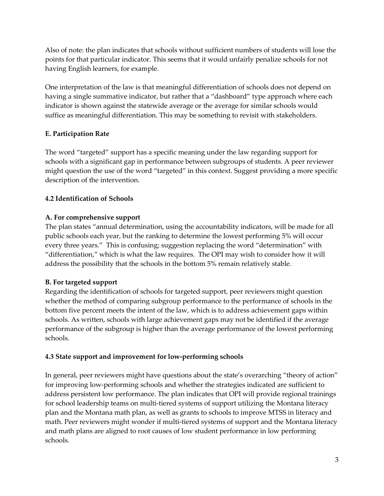Also of note: the plan indicates that schools without sufficient numbers of students will lose the points for that particular indicator. This seems that it would unfairly penalize schools for not having English learners, for example.

One interpretation of the law is that meaningful differentiation of schools does not depend on having a single summative indicator, but rather that a "dashboard" type approach where each indicator is shown against the statewide average or the average for similar schools would suffice as meaningful differentiation. This may be something to revisit with stakeholders.

# **E. Participation Rate**

The word "targeted" support has a specific meaning under the law regarding support for schools with a significant gap in performance between subgroups of students. A peer reviewer might question the use of the word "targeted" in this context. Suggest providing a more specific description of the intervention.

# **4.2 Identification of Schools**

## **A. For comprehensive support**

The plan states "annual determination, using the accountability indicators, will be made for all public schools each year, but the ranking to determine the lowest performing 5% will occur every three years." This is confusing; suggestion replacing the word "determination" with "differentiation," which is what the law requires. The OPI may wish to consider how it will address the possibility that the schools in the bottom 5% remain relatively stable.

# **B. For targeted support**

Regarding the identification of schools for targeted support, peer reviewers might question whether the method of comparing subgroup performance to the performance of schools in the bottom five percent meets the intent of the law, which is to address achievement gaps within schools. As written, schools with large achievement gaps may not be identified if the average performance of the subgroup is higher than the average performance of the lowest performing schools.

## **4.3 State support and improvement for low-performing schools**

In general, peer reviewers might have questions about the state's overarching "theory of action" for improving low-performing schools and whether the strategies indicated are sufficient to address persistent low performance. The plan indicates that OPI will provide regional trainings for school leadership teams on multi-tiered systems of support utilizing the Montana literacy plan and the Montana math plan, as well as grants to schools to improve MTSS in literacy and math. Peer reviewers might wonder if multi-tiered systems of support and the Montana literacy and math plans are aligned to root causes of low student performance in low performing schools.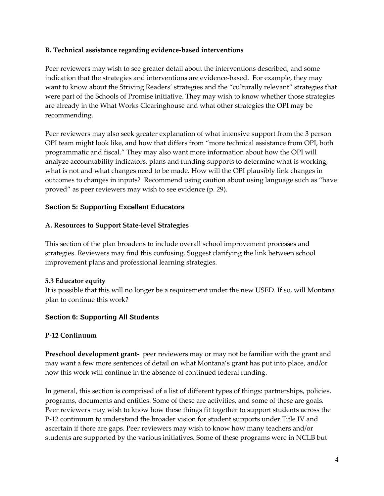### **B. Technical assistance regarding evidence-based interventions**

Peer reviewers may wish to see greater detail about the interventions described, and some indication that the strategies and interventions are evidence-based. For example, they may want to know about the Striving Readers' strategies and the "culturally relevant" strategies that were part of the Schools of Promise initiative. They may wish to know whether those strategies are already in the What Works Clearinghouse and what other strategies the OPI may be recommending.

Peer reviewers may also seek greater explanation of what intensive support from the 3 person OPI team might look like, and how that differs from "more technical assistance from OPI, both programmatic and fiscal." They may also want more information about how the OPI will analyze accountability indicators, plans and funding supports to determine what is working, what is not and what changes need to be made. How will the OPI plausibly link changes in outcomes to changes in inputs? Recommend using caution about using language such as "have proved" as peer reviewers may wish to see evidence (p. 29).

### **Section 5: Supporting Excellent Educators**

### **A. Resources to Support State-level Strategies**

This section of the plan broadens to include overall school improvement processes and strategies. Reviewers may find this confusing. Suggest clarifying the link between school improvement plans and professional learning strategies.

### **5.3 Educator equity**

It is possible that this will no longer be a requirement under the new USED. If so, will Montana plan to continue this work?

## **Section 6: Supporting All Students**

### **P-12 Continuum**

**Preschool development grant-** peer reviewers may or may not be familiar with the grant and may want a few more sentences of detail on what Montana's grant has put into place, and/or how this work will continue in the absence of continued federal funding.

In general, this section is comprised of a list of different types of things: partnerships, policies, programs, documents and entities. Some of these are activities, and some of these are goals. Peer reviewers may wish to know how these things fit together to support students across the P-12 continuum to understand the broader vision for student supports under Title IV and ascertain if there are gaps. Peer reviewers may wish to know how many teachers and/or students are supported by the various initiatives. Some of these programs were in NCLB but